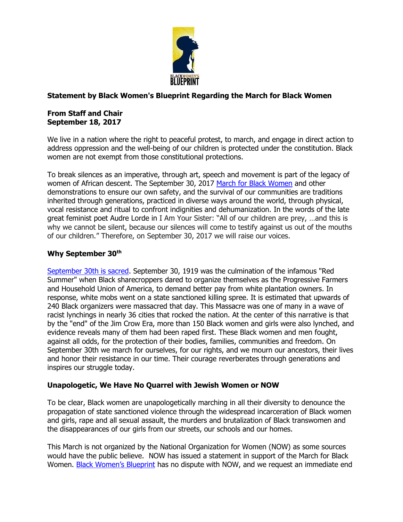

# **Statement by Black Women's Blueprint Regarding the March for Black Women**

### **From Staff and Chair September 18, 2017**

We live in a nation where the right to peaceful protest, to march, and engage in direct action to address oppression and the well-being of our children is protected under the constitution. Black women are not exempt from those constitutional protections.

To break silences as an imperative, through art, speech and movement is part of the legacy of women of African descent. The September 30, 2017 [March for Black Women](http://www.marchforblackwomen.org/) and other demonstrations to ensure our own safety, and the survival of our communities are traditions inherited through generations, practiced in diverse ways around the world, through physical, vocal resistance and ritual to confront indignities and dehumanization. In the words of the late great feminist poet Audre Lorde in I Am Your Sister: "All of our children are prey, …and this is why we cannot be silent, because our silences will come to testify against us out of the mouths of our children." Therefore, on September 30, 2017 we will raise our voices.

## **Why September 30th**

[September 30th is sacred.](https://www.m4rj.com/) September 30, 1919 was the culmination of the infamous "Red Summer" when Black sharecroppers dared to organize themselves as the Progressive Farmers and Household Union of America, to demand better pay from white plantation owners. In response, white mobs went on a state sanctioned killing spree. It is estimated that upwards of 240 Black organizers were massacred that day. This Massacre was one of many in a wave of racist lynchings in nearly 36 cities that rocked the nation. At the center of this narrative is that by the "end" of the Jim Crow Era, more than 150 Black women and girls were also lynched, and evidence reveals many of them had been raped first. These Black women and men fought, against all odds, for the protection of their bodies, families, communities and freedom. On September 30th we march for ourselves, for our rights, and we mourn our ancestors, their lives and honor their resistance in our time. Their courage reverberates through generations and inspires our struggle today.

#### **Unapologetic, We Have No Quarrel with Jewish Women or NOW**

To be clear, Black women are unapologetically marching in all their diversity to denounce the propagation of state sanctioned violence through the widespread incarceration of Black women and girls, rape and all sexual assault, the murders and brutalization of Black transwomen and the disappearances of our girls from our streets, our schools and our homes.

This March is not organized by the National Organization for Women (NOW) as some sources would have the public believe. NOW has issued a statement in support of the March for Black Women. [Black Women's Blueprint](http://www.blackwomensblueprint.org/) has no dispute with NOW, and we request an immediate end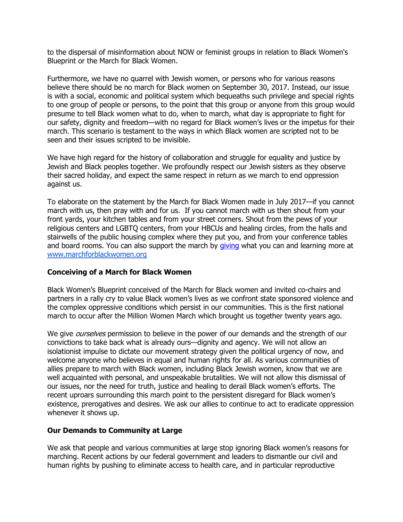to the dispersal of misinformation about NOW or feminist groups in relation to Black Women's Blueprint or the March for Black Women.

Furthermore, we have no quarrel with Jewish women, or persons who for various reasons believe there should be no march for Black women on September 30, 2017. Instead, our issue is with a social, economic and political system which bequeaths such privilege and special rights to one group of people or persons, to the point that this group or anyone from this group would presume to tell Black women what to do, when to march, what day is appropriate to fight for our safety, dignity and freedom—with no regard for Black women's lives or the impetus for their march. This scenario is testament to the ways in which Black women are scripted not to be seen and their issues scripted to be invisible.

We have high regard for the history of collaboration and struggle for equality and justice by Jewish and Black peoples together. We profoundly respect our Jewish sisters as they observe their sacred holiday, and expect the same respect in return as we march to end oppression against us.

To elaborate on the statement by the March for Black Women made in July 2017—if you cannot march with us, then pray with and for us. If you cannot march with us then shout from your front yards, your kitchen tables and from your street corners. Shout from the pews of your religious centers and LGBTQ centers, from your HBCUs and healing circles, from the halls and stairwells of the public housing complex where they put you, and from your conference tables and board rooms. You can also support the march by [giving](http://bit.ly/2uHdOqf) what you can and learning more at [www.marchforblackwomen.org](http://www.marchforblackwomen.org/)

#### **Conceiving of a March for Black Women**

Black Women's Blueprint conceived of the March for Black women and invited co-chairs and partners in a rally cry to value Black women's lives as we confront state sponsored violence and the complex oppressive conditions which persist in our communities. This is the first national march to occur after the Million Women March which brought us together twenty years ago.

We give *ourselves* permission to believe in the power of our demands and the strength of our convictions to take back what is already ours—dignity and agency. We will not allow an isolationist impulse to dictate our movement strategy given the political urgency of now, and welcome anyone who believes in equal and human rights for all. As various communities of allies prepare to march with Black women, including Black Jewish women, know that we are well acquainted with personal, and unspeakable brutalities. We will not allow this dismissal of our issues, nor the need for truth, justice and healing to derail Black women's efforts. The recent uproars surrounding this march point to the persistent disregard for Black women's existence, prerogatives and desires. We ask our allies to continue to act to eradicate oppression whenever it shows up.

#### **Our Demands to Community at Large**

We ask that people and various communities at large stop ignoring Black women's reasons for marching. Recent actions by our federal government and leaders to dismantle our civil and human rights by pushing to eliminate access to health care, and in particular reproductive